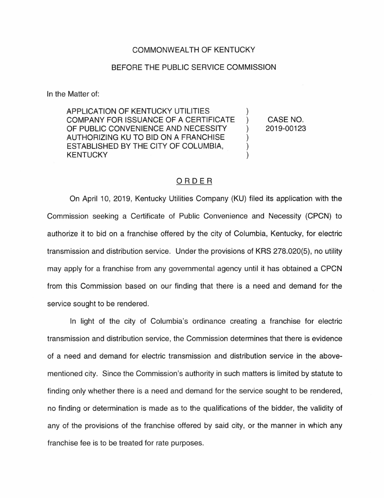## COMMONWEALTH OF KENTUCKY

## BEFORE THE PUBLIC SERVICE COMMISSION

In the Matter of:

APPLICATION OF KENTUCKY UTILITIES COMPANY FOR ISSUANCE OF A CERTIFICATE ) OF PUBLIC CONVENIENCE AND NECESSITY  $\qquad$ AUTHORIZING KU TO BID ON A FRANCHISE ) ESTABLISHED BY THE CITY OF COLUMBIA, **KENTUCKY** 

CASE NO. 2019-00123

## ORDER

On April 10, 2019, Kentucky Utilities Company (KU) filed its application with the Commission seeking a Certificate of Public Convenience and Necessity (CPCN) to authorize it to bid on a franchise offered by the city of Columbia, Kentucky, for electric transmission and distribution service. Under the provisions of KRS 278.020(5), no utility may apply for a franchise from any governmental agency until it has obtained a CPCN from this Commission based on our finding that there is a need and demand for the service sought to be rendered.

In light of the city of Columbia's ordinance creating a franchise for electric transmission and distribution service, the Commission determines that there is evidence of a need and demand for electric transmission and distribution service in the abovementioned city. Since the Commission's authority in such matters is limited by statute to finding only whether there is a need and demand for the service sought to be rendered, no finding or determination is made as to the qualifications of the bidder, the validity of any of the provisions of the franchise offered by said city, or the manner in which any franchise fee is to be treated for rate purposes.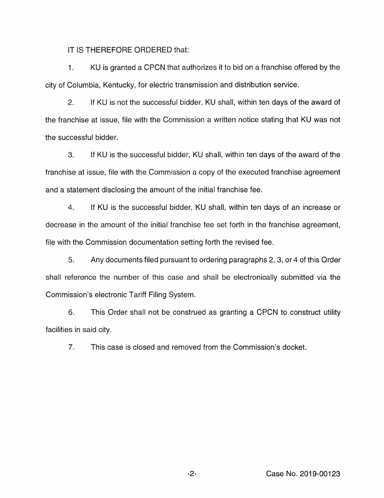IT IS THEREFORE ORDERED that:

1. KU is granted a CPCN that authorizes it to bid on a franchise offered by the city of Columbia, Kentucky, for electric transmission and distribution service.

2. If KU is not the successful bidder, KU shall, within ten days of the award of the franchise at issue, file with the Commission a written notice stating that KU was not the successful bidder.

3. If KU is the successful bidder, KU shall, within ten days of the award of the franchise at issue, file with the Commission a copy of the executed franchise agreement and a statement disclosing the amount of the initial franchise fee.

4. If KU is the successful bidder, KU shall, within ten days of an increase or decrease in the amount of the initial franchise fee set forth in the franchise agreement, tile with the Commission documentation setting forth the revised fee.

5. Any documents filed pursuant to ordering paragraphs 2, 3, or 4 of this Order shall reference the number of this case and shall be electronically submitted via the Commission's electronic Tariff Filing System.

6. This Order shall not be construed as granting a CPCN to construct utility facilities in said city.

7. This case is closed and removed from the Commission's docket.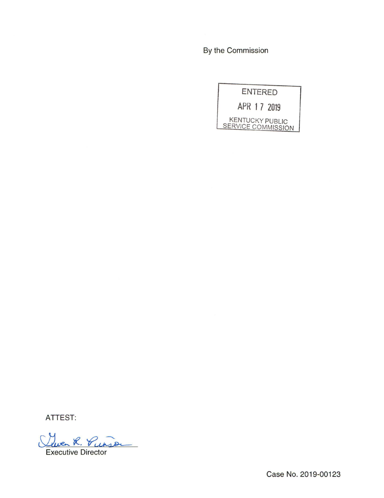By the Commission

ENTERED APR 1 7 2019 KENTUCKY PUBLIC SERVICE COMMISSION

ATTEST:

Quen K. Vunson

Case No. 2019-00123